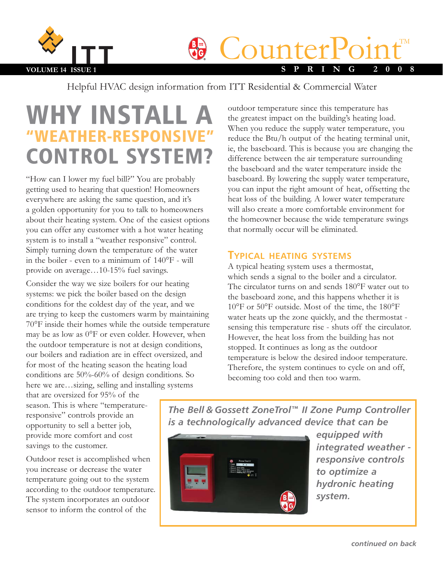

**CounterPoint** 

Helpful HVAC design information from ITT Residential & Commercial Water

# WHY INSTALL "WEATHER-RESPONSIVE" CONTROL SYSTEM?

"How can I lower my fuel bill?" You are probably getting used to hearing that question! Homeowners everywhere are asking the same question, and it's a golden opportunity for you to talk to homeowners about their heating system. One of the easiest options you can offer any customer with a hot water heating system is to install a "weather responsive" control. Simply turning down the temperature of the water in the boiler - even to a minimum of 140°F - will provide on average…10-15% fuel savings.

Consider the way we size boilers for our heating systems: we pick the boiler based on the design conditions for the coldest day of the year, and we are trying to keep the customers warm by maintaining 70°F inside their homes while the outside temperature may be as low as 0°F or even colder. However, when the outdoor temperature is not at design conditions, our boilers and radiation are in effect oversized, and for most of the heating season the heating load conditions are 50%-60% of design conditions. So here we are…sizing, selling and installing systems

that are oversized for 95% of the season. This is where "temperatureresponsive" controls provide an opportunity to sell a better job, provide more comfort and cost savings to the customer.

Outdoor reset is accomplished when you increase or decrease the water temperature going out to the system according to the outdoor temperature. The system incorporates an outdoor sensor to inform the control of the

outdoor temperature since this temperature has the greatest impact on the building's heating load. When you reduce the supply water temperature, you reduce the Btu/h output of the heating terminal unit, ie, the baseboard. This is because you are changing the difference between the air temperature surrounding the baseboard and the water temperature inside the baseboard. By lowering the supply water temperature, you can input the right amount of heat, offsetting the heat loss of the building. A lower water temperature will also create a more comfortable environment for the homeowner because the wide temperature swings that normally occur will be eliminated.

### **TYPICAL HEATING SYSTEMS**

A typical heating system uses a thermostat, which sends a signal to the boiler and a circulator. The circulator turns on and sends 180°F water out to the baseboard zone, and this happens whether it is 10°F or 50°F outside. Most of the time, the 180°F water heats up the zone quickly, and the thermostat sensing this temperature rise - shuts off the circulator. However, the heat loss from the building has not stopped. It continues as long as the outdoor temperature is below the desired indoor temperature. Therefore, the system continues to cycle on and off, becoming too cold and then too warm.

*The Bell & Gossett ZoneTrol™ II Zone Pump Controller is a technologically advanced device that can be*



*equipped with integrated weather responsive controls to optimize a hydronic heating system.*